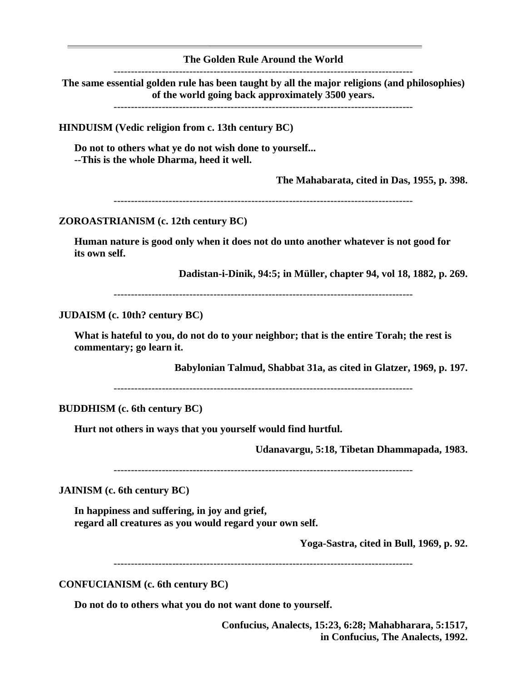**The Golden Rule Around the World**

**The same essential golden rule has been taught by all the major religions (and philosophies) of the world going back approximately 3500 years.**

---------------------------------------------------------------------------------------

**HINDUISM (Vedic religion from c. 13th century BC)**

**Do not to others what ye do not wish done to yourself... --This is the whole Dharma, heed it well.**

**The Mahabarata, cited in Das, 1955, p. 398.**

---------------------------------------------------------------------------------------

**ZOROASTRIANISM (c. 12th century BC)**

**Human nature is good only when it does not do unto another whatever is not good for its own self.**

**Dadistan-i-Dinik, 94:5; in Müller, chapter 94, vol 18, 1882, p. 269.**

---------------------------------------------------------------------------------------

**JUDAISM (c. 10th? century BC)**

**What is hateful to you, do not do to your neighbor; that is the entire Torah; the rest is commentary; go learn it.**

**Babylonian Talmud, Shabbat 31a, as cited in Glatzer, 1969, p. 197.**

---------------------------------------------------------------------------------------

**BUDDHISM (c. 6th century BC)**

**Hurt not others in ways that you yourself would find hurtful.**

**Udanavargu, 5:18, Tibetan Dhammapada, 1983.**

---------------------------------------------------------------------------------------

**JAINISM (c. 6th century BC)**

**In happiness and suffering, in joy and grief, regard all creatures as you would regard your own self.**

**Yoga-Sastra, cited in Bull, 1969, p. 92.**

---------------------------------------------------------------------------------------

**CONFUCIANISM (c. 6th century BC)**

**Do not do to others what you do not want done to yourself.**

**Confucius, Analects, 15:23, 6:28; Mahabharara, 5:1517, in Confucius, The Analects, 1992.**